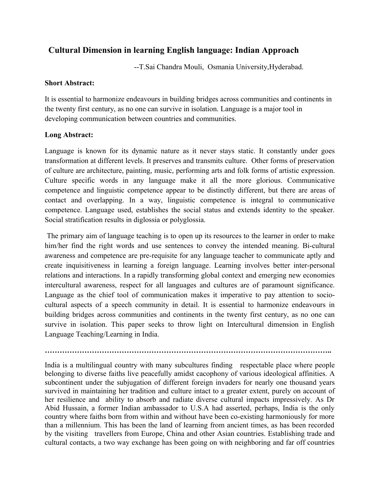## **Cultural Dimension in learning English language: Indian Approach**

--T.Sai Chandra Mouli, Osmania University,Hyderabad.

## **Short Abstract:**

It is essential to harmonize endeavours in building bridges across communities and continents in the twenty first century, as no one can survive in isolation. Language is a major tool in developing communication between countries and communities.

## **Long Abstract:**

Language is known for its dynamic nature as it never stays static. It constantly under goes transformation at different levels. It preserves and transmits culture. Other forms of preservation of culture are architecture, painting, music, performing arts and folk forms of artistic expression. Culture specific words in any language make it all the more glorious. Communicative competence and linguistic competence appear to be distinctly different, but there are areas of contact and overlapping. In a way, linguistic competence is integral to communicative competence. Language used, establishes the social status and extends identity to the speaker. Social stratification results in diglossia or polyglossia.

 The primary aim of language teaching is to open up its resources to the learner in order to make him/her find the right words and use sentences to convey the intended meaning. Bi-cultural awareness and competence are pre-requisite for any language teacher to communicate aptly and create inquisitiveness in learning a foreign language. Learning involves better inter-personal relations and interactions. In a rapidly transforming global context and emerging new economies intercultural awareness, respect for all languages and cultures are of paramount significance. Language as the chief tool of communication makes it imperative to pay attention to sociocultural aspects of a speech community in detail. It is essential to harmonize endeavours in building bridges across communities and continents in the twenty first century, as no one can survive in isolation. This paper seeks to throw light on Intercultural dimension in English Language Teaching/Learning in India.

India is a multilingual country with many subcultures finding respectable place where people belonging to diverse faiths live peacefully amidst cacophony of various ideological affinities. A subcontinent under the subjugation of different foreign invaders for nearly one thousand years survived in maintaining her tradition and culture intact to a greater extent, purely on account of her resilience and ability to absorb and radiate diverse cultural impacts impressively. As Dr Abid Hussain, a former Indian ambassador to U.S.A had asserted, perhaps, India is the only country where faiths born from within and without have been co-existing harmoniously for more than a millennium. This has been the land of learning from ancient times, as has been recorded by the visiting travellers from Europe, China and other Asian countries. Establishing trade and cultural contacts, a two way exchange has been going on with neighboring and far off countries

**……………………………………………………………………………………………………..**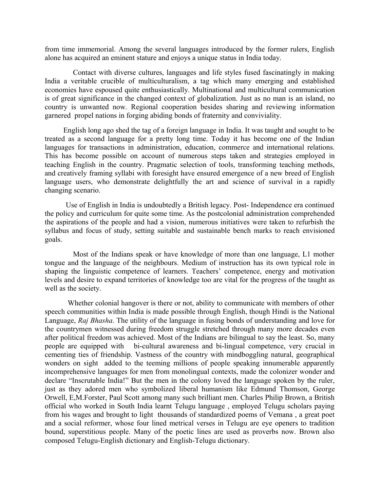from time immemorial. Among the several languages introduced by the former rulers, English alone has acquired an eminent stature and enjoys a unique status in India today.

 Contact with diverse cultures, languages and life styles fused fascinatingly in making India a veritable crucible of multiculturalism, a tag which many emerging and established economies have espoused quite enthusiastically. Multinational and multicultural communication is of great significance in the changed context of globalization. Just as no man is an island, no country is unwanted now. Regional cooperation besides sharing and reviewing information garnered propel nations in forging abiding bonds of fraternity and conviviality.

 English long ago shed the tag of a foreign language in India. It was taught and sought to be treated as a second language for a pretty long time. Today it has become one of the Indian languages for transactions in administration, education, commerce and international relations. This has become possible on account of numerous steps taken and strategies employed in teaching English in the country. Pragmatic selection of tools, transforming teaching methods, and creatively framing syllabi with foresight have ensured emergence of a new breed of English language users, who demonstrate delightfully the art and science of survival in a rapidly changing scenario.

 Use of English in India is undoubtedly a British legacy. Post- Independence era continued the policy and curriculum for quite some time. As the postcolonial administration comprehended the aspirations of the people and had a vision, numerous initiatives were taken to refurbish the syllabus and focus of study, setting suitable and sustainable bench marks to reach envisioned goals.

 Most of the Indians speak or have knowledge of more than one language, L1 mother tongue and the language of the neighbours. Medium of instruction has its own typical role in shaping the linguistic competence of learners. Teachers' competence, energy and motivation levels and desire to expand territories of knowledge too are vital for the progress of the taught as well as the society.

 Whether colonial hangover is there or not, ability to communicate with members of other speech communities within India is made possible through English, though Hindi is the National Language, *Raj Bhasha*. The utility of the language in fusing bonds of understanding and love for the countrymen witnessed during freedom struggle stretched through many more decades even after political freedom was achieved. Most of the Indians are bilingual to say the least. So, many people are equipped with bi-cultural awareness and bi-lingual competence, very crucial in cementing ties of friendship. Vastness of the country with mindboggling natural, geographical wonders on sight added to the teeming millions of people speaking innumerable apparently incomprehensive languages for men from monolingual contexts, made the colonizer wonder and declare "Inscrutable India!" But the men in the colony loved the language spoken by the ruler, just as they adored men who symbolized liberal humanism like Edmund Thomson, George Orwell, E,M.Forster, Paul Scott among many such brilliant men. Charles Philip Brown, a British official who worked in South India learnt Telugu language , employed Telugu scholars paying from his wages and brought to light thousands of standardized poems of Vemana , a great poet and a social reformer, whose four lined metrical verses in Telugu are eye openers to tradition bound, superstitious people. Many of the poetic lines are used as proverbs now. Brown also composed Telugu-English dictionary and English-Telugu dictionary.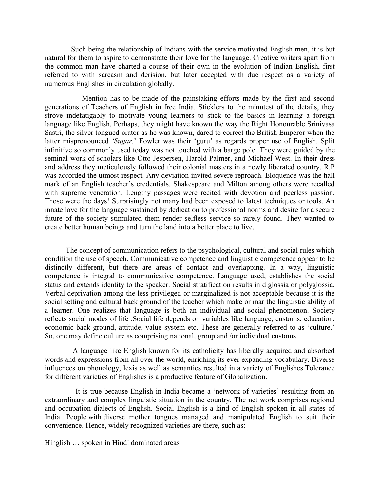Such being the relationship of Indians with the service motivated English men, it is but natural for them to aspire to demonstrate their love for the language. Creative writers apart from the common man have charted a course of their own in the evolution of Indian English, first referred to with sarcasm and derision, but later accepted with due respect as a variety of numerous Englishes in circulation globally.

 Mention has to be made of the painstaking efforts made by the first and second generations of Teachers of English in free India. Sticklers to the minutest of the details, they strove indefatigably to motivate young learners to stick to the basics in learning a foreign language like English. Perhaps, they might have known the way the Right Honourable Srinivasa Sastri, the silver tongued orator as he was known, dared to correct the British Emperor when the latter mispronounced *'Sugar.*' Fowler was their 'guru' as regards proper use of English. Split infinitive so commonly used today was not touched with a barge pole. They were guided by the seminal work of scholars like Otto Jespersen, Harold Palmer, and Michael West. In their dress and address they meticulously followed their colonial masters in a newly liberated country. R.P was accorded the utmost respect. Any deviation invited severe reproach. Eloquence was the hall mark of an English teacher's credentials. Shakespeare and Milton among others were recalled with supreme veneration. Lengthy passages were recited with devotion and peerless passion. Those were the days! Surprisingly not many had been exposed to latest techniques or tools. An innate love for the language sustained by dedication to professional norms and desire for a secure future of the society stimulated them render selfless service so rarely found. They wanted to create better human beings and turn the land into a better place to live.

 The concept of communication refers to the psychological, cultural and social rules which condition the use of speech. Communicative competence and linguistic competence appear to be distinctly different, but there are areas of contact and overlapping. In a way, linguistic competence is integral to communicative competence. Language used, establishes the social status and extends identity to the speaker. Social stratification results in diglossia or polyglossia. Verbal deprivation among the less privileged or marginalized is not acceptable because it is the social setting and cultural back ground of the teacher which make or mar the linguistic ability of a learner. One realizes that language is both an individual and social phenomenon. Society reflects social modes of life .Social life depends on variables like language, customs, education, economic back ground, attitude, value system etc. These are generally referred to as 'culture.' So, one may define culture as comprising national, group and /or individual customs.

 A language like English known for its catholicity has liberally acquired and absorbed words and expressions from all over the world, enriching its ever expanding vocabulary. Diverse influences on phonology, lexis as well as semantics resulted in a variety of Englishes.Tolerance for different varieties of Englishes is a productive feature of Globalization.

 It is true because English in India became a 'network of varieties' resulting from an extraordinary and complex linguistic situation in the country. The net work comprises regional and occupation dialects of English. Social English is a kind of English spoken in all states of India. People with diverse mother tongues managed and manipulated English to suit their convenience. Hence, widely recognized varieties are there, such as:

Hinglish … spoken in Hindi dominated areas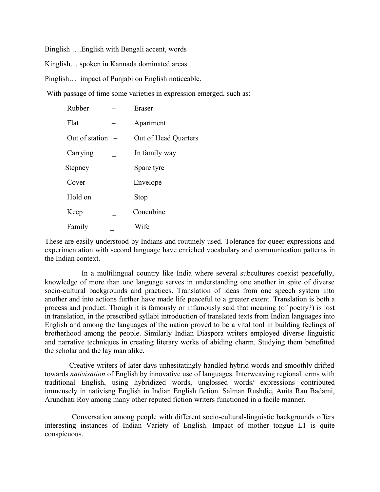Binglish ….English with Bengali accent, words

Kinglish… spoken in Kannada dominated areas.

Pinglish… impact of Punjabi on English noticeable.

With passage of time some varieties in expression emerged, such as:

| Rubber         | Eraser               |
|----------------|----------------------|
| Flat           | Apartment            |
| Out of station | Out of Head Quarters |
| Carrying       | In family way        |
| Stepney        | Spare tyre           |
| Cover          | Envelope             |
| Hold on        | Stop                 |
| Keep           | Concubine            |
| Family         | Wife                 |

These are easily understood by Indians and routinely used. Tolerance for queer expressions and experimentation with second language have enriched vocabulary and communication patterns in the Indian context.

 In a multilingual country like India where several subcultures coexist peacefully, knowledge of more than one language serves in understanding one another in spite of diverse socio-cultural backgrounds and practices. Translation of ideas from one speech system into another and into actions further have made life peaceful to a greater extent. Translation is both a process and product. Though it is famously or infamously said that meaning (of poetry?) is lost in translation, in the prescribed syllabi introduction of translated texts from Indian languages into English and among the languages of the nation proved to be a vital tool in building feelings of brotherhood among the people. Similarly Indian Diaspora writers employed diverse linguistic and narrative techniques in creating literary works of abiding charm. Studying them benefitted the scholar and the lay man alike.

 Creative writers of later days unhesitatingly handled hybrid words and smoothly drifted towards *nativisation* of English by innovative use of languages. Interweaving regional terms with traditional English, using hybridized words, unglossed words/ expressions contributed immensely in nativisng English in Indian English fiction. Salman Rushdie, Anita Rau Badami, Arundhati Roy among many other reputed fiction writers functioned in a facile manner.

 Conversation among people with different socio-cultural-linguistic backgrounds offers interesting instances of Indian Variety of English. Impact of mother tongue L1 is quite conspicuous.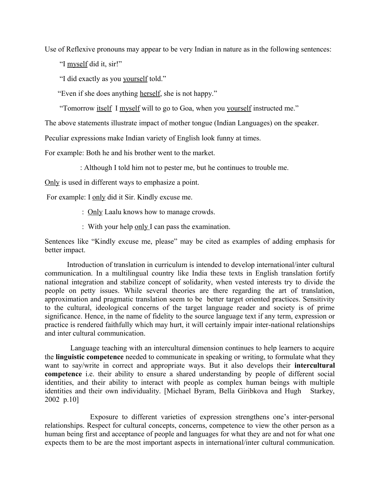Use of Reflexive pronouns may appear to be very Indian in nature as in the following sentences:

"I myself did it, sir!"

"I did exactly as you yourself told."

"Even if she does anything herself, she is not happy."

"Tomorrow itself I myself will to go to Goa, when you yourself instructed me."

The above statements illustrate impact of mother tongue (Indian Languages) on the speaker.

Peculiar expressions make Indian variety of English look funny at times.

For example: Both he and his brother went to the market.

: Although I told him not to pester me, but he continues to trouble me.

Only is used in different ways to emphasize a point.

For example: I only did it Sir. Kindly excuse me.

- : Only Laalu knows how to manage crowds.
- : With your help only I can pass the examination.

Sentences like "Kindly excuse me, please" may be cited as examples of adding emphasis for better impact.

 Introduction of translation in curriculum is intended to develop international/inter cultural communication. In a multilingual country like India these texts in English translation fortify national integration and stabilize concept of solidarity, when vested interests try to divide the people on petty issues. While several theories are there regarding the art of translation, approximation and pragmatic translation seem to be better target oriented practices. Sensitivity to the cultural, ideological concerns of the target language reader and society is of prime significance. Hence, in the name of fidelity to the source language text if any term, expression or practice is rendered faithfully which may hurt, it will certainly impair inter-national relationships and inter cultural communication.

 Language teaching with an intercultural dimension continues to help learners to acquire the **linguistic competence** needed to communicate in speaking or writing, to formulate what they want to say/write in correct and appropriate ways. But it also develops their **intercultural competence** i.e. their ability to ensure a shared understanding by people of different social identities, and their ability to interact with people as complex human beings with multiple identities and their own individuality. [Michael Byram, Bella Giribkova and Hugh Starkey, 2002 p.10]

 Exposure to different varieties of expression strengthens one's inter-personal relationships. Respect for cultural concepts, concerns, competence to view the other person as a human being first and acceptance of people and languages for what they are and not for what one expects them to be are the most important aspects in international/inter cultural communication.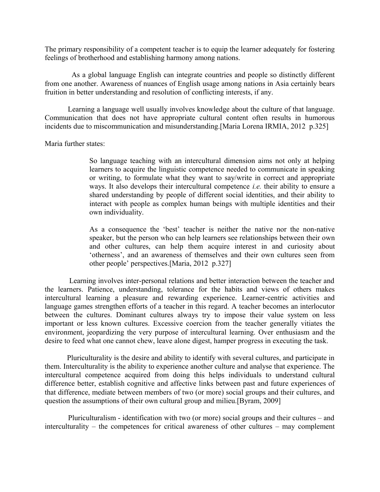The primary responsibility of a competent teacher is to equip the learner adequately for fostering feelings of brotherhood and establishing harmony among nations.

 As a global language English can integrate countries and people so distinctly different from one another. Awareness of nuances of English usage among nations in Asia certainly bears fruition in better understanding and resolution of conflicting interests, if any.

 Learning a language well usually involves knowledge about the culture of that language. Communication that does not have appropriate cultural content often results in humorous incidents due to miscommunication and misunderstanding.[Maria Lorena IRMIA, 2012 p.325]

Maria further states:

So language teaching with an intercultural dimension aims not only at helping learners to acquire the linguistic competence needed to communicate in speaking or writing, to formulate what they want to say/write in correct and appropriate ways. It also develops their intercultural competence *i.e.* their ability to ensure a shared understanding by people of different social identities, and their ability to interact with people as complex human beings with multiple identities and their own individuality.

As a consequence the 'best' teacher is neither the native nor the non-native speaker, but the person who can help learners see relationships between their own and other cultures, can help them acquire interest in and curiosity about 'otherness', and an awareness of themselves and their own cultures seen from other people' perspectives.[Maria, 2012 p.327]

 Learning involves inter-personal relations and better interaction between the teacher and the learners. Patience, understanding, tolerance for the habits and views of others makes intercultural learning a pleasure and rewarding experience. Learner-centric activities and language games strengthen efforts of a teacher in this regard. A teacher becomes an interlocutor between the cultures. Dominant cultures always try to impose their value system on less important or less known cultures. Excessive coercion from the teacher generally vitiates the environment, jeopardizing the very purpose of intercultural learning. Over enthusiasm and the desire to feed what one cannot chew, leave alone digest, hamper progress in executing the task.

 Pluriculturality is the desire and ability to identify with several cultures, and participate in them. Interculturality is the ability to experience another culture and analyse that experience. The intercultural competence acquired from doing this helps individuals to understand cultural difference better, establish cognitive and affective links between past and future experiences of that difference, mediate between members of two (or more) social groups and their cultures, and question the assumptions of their own cultural group and milieu.[Byram, 2009]

 Pluriculturalism - identification with two (or more) social groups and their cultures – and interculturality – the competences for critical awareness of other cultures – may complement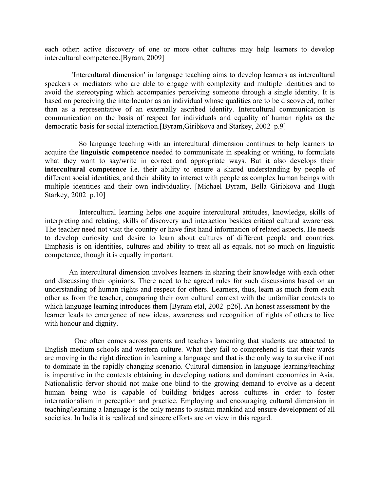each other: active discovery of one or more other cultures may help learners to develop intercultural competence.[Byram, 2009]

'Intercultural dimension' in language teaching aims to develop learners as intercultural speakers or mediators who are able to engage with complexity and multiple identities and to avoid the stereotyping which accompanies perceiving someone through a single identity. It is based on perceiving the interlocutor as an individual whose qualities are to be discovered, rather than as a representative of an externally ascribed identity. Intercultural communication is communication on the basis of respect for individuals and equality of human rights as the democratic basis for social interaction.[Byram,Giribkova and Starkey, 2002 p.9]

 So language teaching with an intercultural dimension continues to help learners to acquire the **linguistic competence** needed to communicate in speaking or writing, to formulate what they want to say/write in correct and appropriate ways. But it also develops their **intercultural competence** i.e. their ability to ensure a shared understanding by people of different social identities, and their ability to interact with people as complex human beings with multiple identities and their own individuality. [Michael Byram, Bella Giribkova and Hugh Starkey, 2002 p.10]

 Intercultural learning helps one acquire intercultural attitudes, knowledge, skills of interpreting and relating, skills of discovery and interaction besides critical cultural awareness. The teacher need not visit the country or have first hand information of related aspects. He needs to develop curiosity and desire to learn about cultures of different people and countries. Emphasis is on identities, cultures and ability to treat all as equals, not so much on linguistic competence, though it is equally important.

 An intercultural dimension involves learners in sharing their knowledge with each other and discussing their opinions. There need to be agreed rules for such discussions based on an understanding of human rights and respect for others. Learners, thus, learn as much from each other as from the teacher, comparing their own cultural context with the unfamiliar contexts to which language learning introduces them [Byram etal, 2002 p26]. An honest assessment by the learner leads to emergence of new ideas, awareness and recognition of rights of others to live with honour and dignity.

 One often comes across parents and teachers lamenting that students are attracted to English medium schools and western culture. What they fail to comprehend is that their wards are moving in the right direction in learning a language and that is the only way to survive if not to dominate in the rapidly changing scenario. Cultural dimension in language learning/teaching is imperative in the contexts obtaining in developing nations and dominant economies in Asia. Nationalistic fervor should not make one blind to the growing demand to evolve as a decent human being who is capable of building bridges across cultures in order to foster internationalism in perception and practice. Employing and encouraging cultural dimension in teaching/learning a language is the only means to sustain mankind and ensure development of all societies. In India it is realized and sincere efforts are on view in this regard.